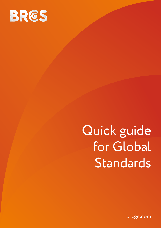

# Quick guide for Global Standards

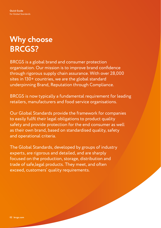# **Why choose BRCGS?**

BRCGS is a global brand and consumer protection organisation. Our mission is to improve brand confidence through rigorous supply chain assurance. With over 28,000 sites in 130+ countries, we are the global standard underpinning Brand, Reputation through Compliance.

BRCGS is now typically a fundamental requirement for leading retailers, manufacturers and food service organisations.

Our Global Standards provide the framework for companies to easily fulfil their legal obligations to product quality safety and provide protection for the end consumer as well as their own brand, based on standardised quality, safety and operational criteria.

The Global Standards, developed by groups of industry experts, are rigorous and detailed, and are sharply focused on the production, storage, distribution and trade of safe,legal products. They meet, and often exceed, customers' quality requirements.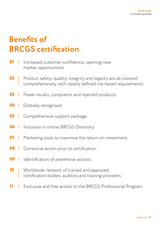# **Benefits of BRCGS certification**

- Increased customer confidence, opening new market opportunities. **01**
- Product safety, quality, integrity and legality are all covered comprehensively, with clearly defined risk-based requirements. **02**
- Fewer recalls, complaints and rejected products. **03**
- Globally recognised. **04**
- Comprehensive support package. **05**
- **06** Inclusion in online BRCGS Directory.  $\mathbb{R}$
- **07**  $\mathbf{I}$ Marketing tools to maximise the return on investment.
- **08** Corrective action prior to certification.  $\mathbb{R}^n$
- **09**  $\mathbf{I}$ Identification of preventive actions.
- Worldwide network of trained and approved certification bodies, auditors and training providers. **10**
- Exclusive and free access to the BRCGS Professional Program. **11**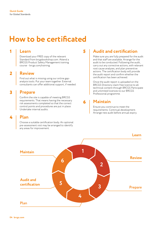## **How to be certificated**

#### **1 5 Learn**

Download your FREE copy of the relevant Standard from brcgsbookshop.com. Attend a BRCGS Product Safety Management training course - [brcgs.com/training](http://www.brcgs.com/training).

#### **2 Review**

Find out what is missing using our online gapanalysis tools. Put your team together. External consultants can offer additional support, if needed.

#### **3 Prepare**

Confirm the site is capable of meeting BRCGS requirements. That means having the necessary risk assessments completed so that the correct control points and procedures are put in place. Undertake internal audits.

#### **Plan**

**4**

Choose a suitable certification body. An optional pre-assessment visit may be arranged to identify any areas for improvement.

#### **Audit and certification**

Make sure you are fully prepared for the audit and that staff are available. Arrange for the audit to be conducted. Following the audit, carry out any corrective actions, with relevant root cause analyses, and plan preventive actions. The certification body will provide the audit report and confirm whether the certification has been achieved.

Once the audit report is uploaded on the BRCGS Directory claim free licence to all technical content through BRCGS Participate and unlimited licences to our BRCGS Professional programme.

#### **Maintain**

**6**

Ensure you continue to meet the requirements. Continual development. Arrange new audit before annual expiry.

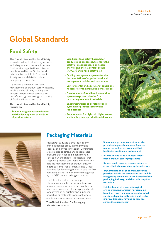# **Global Standards**

### **Food Safety**

The Global Standard for Food Safety is developed by food industry experts including retailers, manufacturers and food service organisations. It is also benchmarked by the Global Food Safety Initiative (GFSI). As a result, it is rigorous and detailed, while being easy to understand.

It provides a framework for the management of product safety, integrity, legality and quality by defining the necessary operational controls for manufacturing, processing and packing of food and food ingredients.

The Global Standard for Food Safety focuses on

**• Senior management commitment and the development of a culture of product safety**

- **• Significant food safety hazards for products and processes, to ensure the safety of products based on hazard analysis and critical control points (HACCP) and a food safety plan**
- **• Quality management systems for the documentation of organisational and management policies and procedures**
- **• Environmental and operational conditions necessary for the production of safe food**
- **• Development of food fraud prevention systems to protect the site from purchasing fraudulent materials**
- **• Encouraging sites to develop robust systems for product security and food defence**
- **• Requirements for high-risk, high-care and ambient high-care production risk zones**





### **Packaging Materials**

Packaging is a fundamental part of any brand: it defines product integrity and security and drives innovation. Consumers are attracted to strong and recognisable products that need to be consistent in size, colour and shape. It is essential that suppliers produce safe, legal packaging and that the management of product quality meets customer requirements. The Global Standard for Packaging Materials was the first Packaging Standard in the world recognised by the GSFI benchmarking committee.

The Global Standard for Packaging Materials is suitable for manufacturers of primary, secondary and tertiary packaging materials; producers of packaging materials for conversion or printing and suppliers of packaging materials from stock where additional processing or repacking occurs.

The Global Standard for Packaging Materials focuses on

- **• Senior management commitments to provide adequate human and financial resources and an environment that facilitates continual development**
- **• Hazard analysis and risk assessment based product safety programme**
- **• Robust quality management systems to ensure that sites work in a systematic way**
- **• Implementation of good manufacturing practices within the production areas while recognising the diversity and breadth of the packaging industry, and the skills required to audit it**
- **• Establishment of a microbiological environmental monitoring programme based on risk. The importance of product safety and quality culture in the drive to improve transparency and coherence across the supply chain**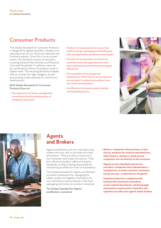### **Consumer Products**

The Global Standard for Consumer Products is designed for global specifiers, retailers and manufacturers of non-food raw materials and finished products. Since this is a very broad sector, the Standard consists of two parts, covering General Merchandise, and Personal Care and Household. In addition, sites can be certificated at either Foundation Level or Higher level. The resulting flexibility enables sites to choose the right category, as well as providing a clear pathway for continuous development.

#### Both Global Standards for Consumer Products focus on

**• The importance of senior management commitment and the development of competent personnel**

- **• Product risk assessments to ensure that product design, packaging and labelling are safe and legal before production even begins**
- **• Process risk assessments to ensure any potential issues during production have been understood, prioritised and managed effectively**
- **• The suitability of the design and maintenance of the factory and production environment in protecting products from the risk of contamination**
- **• An effective risk-based product testing and sampling process**





#### **Agents and Brokers**

Agents and Brokers are non-manufacturing traders who buy, sell or facilitate the trade of products. They provide a critical link in the movement and trade of products. They also influence product safety and quality standards, as well as being responsible for maintaining an effective chain of traceability.

The Global Standard for Agents and Brokers provides a framework for managing the safety, quality and legality of products for non-manufacturing businesses in the food, packaging and consumer product industries.

The Global Standard for Agents and Brokers is aimed at

- **• Brokers: companies that purchase, or take title to, products for resale to manufacturers, other brokers, retailers or food service companies, but not directly to the consumer**
- **• Agents or non-manufacturing service providers: companies that trade between a manufacturer or broker and their customers, but do not own, or take title to, the goods**
- **• Importers/exporters: companies that facilitate the movement of products across national boundaries, satisfying legal and customs requirements. Importers and exporters are often also agents and/or brokers**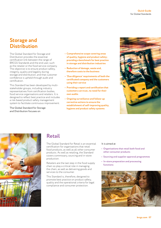#### **Storage and Distribution**

The Global Standard for Storage and Distribution provides the essential certification link between the range of BRCGS Standards and the end user, such as the retailer or the food service company. The objective is to ensure product safety, integrity, quality and legality during storage and distribution, and that customer confidence is upheld through audit and certification.

This Standard has been developed by multistakeholder groups, including industry representatives from certification bodies, food service organisations and retailers. It is designed to reflect best practice and includes a risk-based product safety management system to facilitate continuous improvement.

The Global Standard for Storage and Distribution focuses on

- **• Comprehensive scope covering areas of quality, hygiene and product safety; providing a benchmark for best practice in storage and distribution industries**
- **• Reduction of damage, waste and, therefore costs to the business**
- **• 'Due diligence' requirements of both the certificated company and the customers using their service**
- **• Providing a report and certification that customers can trust, no need for their own audits**
- **• Ongoing surveillance and follow-up corrective actions to ensure the establishment of self-improving quality, hygiene and product safety systems**





### **Retail**

The Global Standard for Retail is an essential certification for organisations that retail food products, as well as all other consumer products. As well as retailing, the Standard covers commissary, sourcing and in-store production.

Retailers are the last step in the food supply chain so play a critical role in managing the chain, as well as delivering goods and services to the consumer.

This Standard is, therefore, designed to promote best practice on product safety, quality and the operational criteria for legal compliance and consumer protection.

#### It is aimed at

- **• Organisations that retail both food and other consumer products**
- **• Sourcing and supplier approval programmes**
- **• In-store preparation and processing functions**